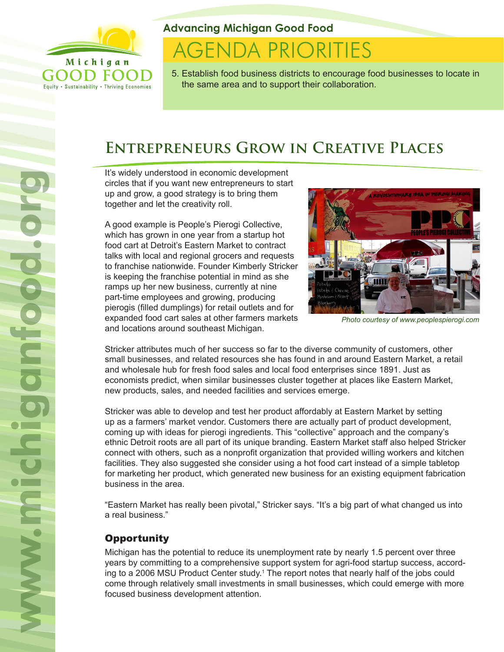

Equity . Sustainability . Thriving Economies

#### **Advancing Michigan Good Food**

# **AGENDA PRIORITIES**

5. Establish food business districts to encourage food businesses to locate in the same area and to support their collaboration.

## **Entrepreneurs Grow in Creative Places**

It's widely understood in economic development circles that if you want new entrepreneurs to start up and grow, a good strategy is to bring them together and let the creativity roll.

A good example is People's Pierogi Collective, which has grown in one year from a startup hot food cart at Detroit's Eastern Market to contract talks with local and regional grocers and requests to franchise nationwide. Founder Kimberly Stricker is keeping the franchise potential in mind as she ramps up her new business, currently at nine part-time employees and growing, producing pierogis (filled dumplings) for retail outlets and for expanded food cart sales at other farmers markets and locations around southeast Michigan.



*Photo courtesy of www.peoplespierogi.com*

Stricker attributes much of her success so far to the diverse community of customers, other small businesses, and related resources she has found in and around Eastern Market, a retail and wholesale hub for fresh food sales and local food enterprises since 1891. Just as economists predict, when similar businesses cluster together at places like Eastern Market, new products, sales, and needed facilities and services emerge.

Stricker was able to develop and test her product affordably at Eastern Market by setting up as a farmers' market vendor. Customers there are actually part of product development, coming up with ideas for pierogi ingredients. This "collective" approach and the company's ethnic Detroit roots are all part of its unique branding. Eastern Market staff also helped Stricker connect with others, such as a nonprofit organization that provided willing workers and kitchen facilities. They also suggested she consider using a hot food cart instead of a simple tabletop for marketing her product, which generated new business for an existing equipment fabrication business in the area.

"Eastern Market has really been pivotal," Stricker says. "It's a big part of what changed us into a real business."

### **Opportunity**

Michigan has the potential to reduce its unemployment rate by nearly 1.5 percent over three years by committing to a comprehensive support system for agri-food startup success, according to a 2006 MSU Product Center study.<sup>1</sup> The report notes that nearly half of the jobs could come through relatively small investments in small businesses, which could emerge with more focused business development attention.